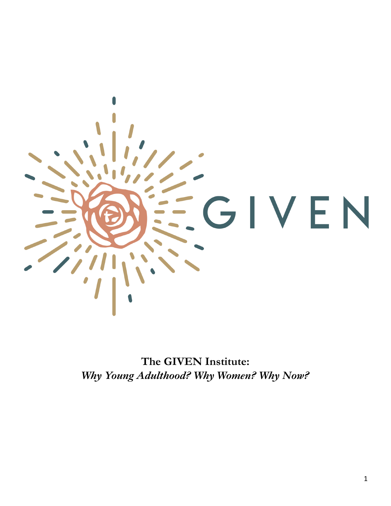

**The GIVEN Institute:** *Why Young Adulthood? Why Women? Why Now?*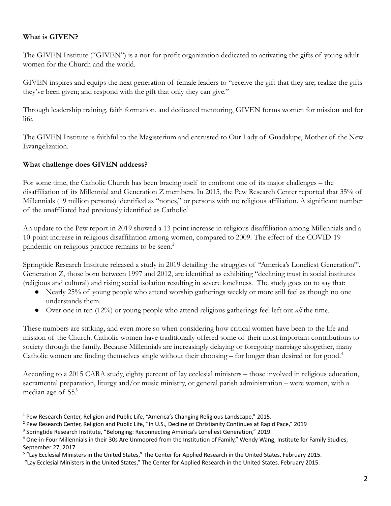## **What is GIVEN?**

The GIVEN Institute ("GIVEN") is a not-for-profit organization dedicated to activating the gifts of young adult women for the Church and the world.

GIVEN inspires and equips the next generation of female leaders to "receive the gift that they are; realize the gifts they've been given; and respond with the gift that only they can give."

Through leadership training, faith formation, and dedicated mentoring, GIVEN forms women for mission and for life.

The GIVEN Institute is faithful to the Magisterium and entrusted to Our Lady of Guadalupe, Mother of the New Evangelization.

#### **What challenge does GIVEN address?**

For some time, the Catholic Church has been bracing itself to confront one of its major challenges – the disaffiliation of its Millennial and Generation Z members. In 2015, the Pew Research Center reported that 35% of Millennials (19 million persons) identified as "nones," or persons with no religious affiliation. A significant number of the unaffiliated had previously identified as Catholic.<sup>1</sup>

An update to the Pew report in 2019 showed a 13-point increase in religious disaffiliation among Millennials and a 10-point increase in religious disaffiliation among women, compared to 2009. The effect of the COVID-19 pandemic on religious practice remains to be seen.<sup>2</sup>

Springtide Research Institute released a study in 2019 detailing the struggles of "America's Loneliest Generation". Generation Z, those born between 1997 and 2012, are identified as exhibiting "declining trust in social institutes (religious and cultural) and rising social isolation resulting in severe loneliness. The study goes on to say that:

- Nearly 25% of young people who attend worship gatherings weekly or more still feel as though no one understands them.
- Over one in ten (12%) or young people who attend religious gatherings feel left out *all* the time.

These numbers are striking, and even more so when considering how critical women have been to the life and mission of the Church. Catholic women have traditionally offered some of their most important contributions to society through the family. Because Millennials are increasingly delaying or foregoing marriage altogether, many Catholic women are finding themselves single without their choosing – for longer than desired or for good.<sup>4</sup>

According to a 2015 CARA study, eighty percent of lay ecclesial ministers – those involved in religious education, sacramental preparation, liturgy and/or music ministry, or general parish administration – were women, with a median age of 55.<sup>5</sup>

<sup>1</sup> Pew Research Center, Religion and Public Life, "America's Changing Religious Landscape," 2015.

<sup>&</sup>lt;sup>2</sup> Pew Research Center, Religion and Public Life, "In U.S., Decline of Christianity Continues at Rapid Pace," 2019

<sup>&</sup>lt;sup>3</sup> Springtide Research Institute, "Belonging: Reconnecting America's Loneliest Generation," 2019.

<sup>&</sup>lt;sup>4</sup> One-in-Four Millennials in their 30s Are Unmoored from the Institution of Family," Wendy Wang, Institute for Family Studies, September 27, 2017.

<sup>&</sup>lt;sup>5</sup> "Lay Ecclesial Ministers in the United States," The Center for Applied Research in the United States. February 2015.

<sup>&</sup>quot;Lay Ecclesial Ministers in the United States," The Center for Applied Research in the United States. February 2015.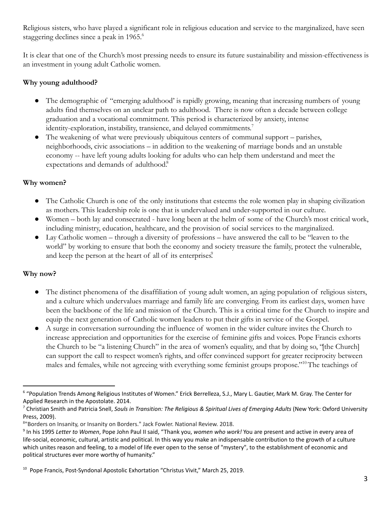Religious sisters, who have played a significant role in religious education and service to the marginalized, have seen staggering declines since a peak in 1965.<sup>6</sup>

It is clear that one of the Church's most pressing needs to ensure its future sustainability and mission-effectiveness is an investment in young adult Catholic women.

# **Why young adulthood?**

- The demographic of "emerging adulthood' is rapidly growing, meaning that increasing numbers of young adults find themselves on an unclear path to adulthood. There is now often a decade between college graduation and a vocational commitment. This period is characterized by anxiety, intense identity-exploration, instability, transience, and delayed commitments.<sup>7</sup>
- The weakening of what were previously ubiquitous centers of communal support parishes, neighborhoods, civic associations – in addition to the weakening of marriage bonds and an unstable economy -- have left young adults looking for adults who can help them understand and meet the expectations and demands of adulthood.<sup>8</sup>

## **Why women?**

- The Catholic Church is one of the only institutions that esteems the role women play in shaping civilization as mothers. This leadership role is one that is undervalued and under-supported in our culture.
- Women both lay and consecrated have long been at the helm of some of the Church's most critical work, including ministry, education, healthcare, and the provision of social services to the marginalized.
- Lay Catholic women through a diversity of professions have answered the call to be "leaven to the world" by working to ensure that both the economy and society treasure the family, protect the vulnerable, and keep the person at the heart of all of its enterprises.

## **Why now?**

- The distinct phenomena of the disaffiliation of young adult women, an aging population of religious sisters, and a culture which undervalues marriage and family life are converging. From its earliest days, women have been the backbone of the life and mission of the Church. This is a critical time for the Church to inspire and equip the next generation of Catholic women leaders to put their gifts in service of the Gospel.
- A surge in conversation surrounding the influence of women in the wider culture invites the Church to increase appreciation and opportunities for the exercise of feminine gifts and voices. Pope Francis exhorts the Church to be "a listening Church" in the area of women's equality, and that by doing so, "[the Church] can support the call to respect women's rights, and offer convinced support for greater reciprocity between males and females, while not agreeing with everything some feminist groups propose."<sup>10</sup> The teachings of

<sup>6</sup> "Population Trends Among Religious Institutes of Women." Erick Berrelleza, S.J., Mary L. Gautier, Mark M. Gray. The Center for Applied Research in the Apostolate. 2014.

<sup>7</sup> Christian Smith and Patricia Snell, *Souls in Transition: The Religious & Spiritual Lives of Emerging Adults* (New York: Oxford University Press, 2009).

<sup>8</sup>"Borders on Insanity, or Insanity on Borders." Jack Fowler. National Review. 2018.

<sup>9</sup> In his 1995 *Letter to Women*, Pope John Paul II said, "Thank you, *women who work!* You are present and active in every area of life-social, economic, cultural, artistic and political. In this way you make an indispensable contribution to the growth of a culture which unites reason and feeling, to a model of life ever open to the sense of "mystery", to the establishment of economic and political structures ever more worthy of humanity."

<sup>&</sup>lt;sup>10</sup> Pope Francis, Post-Syndonal Apostolic Exhortation "Christus Vivit," March 25, 2019.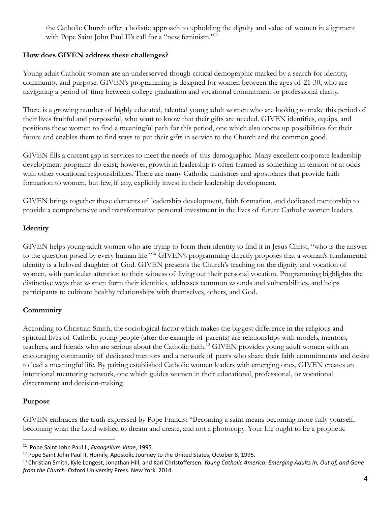the Catholic Church offer a holistic approach to upholding the dignity and value of women in alignment with Pope Saint John Paul II's call for a "new feminism."<sup>11</sup>

### **How does GIVEN address these challenges?**

Young adult Catholic women are an underserved though critical demographic marked by a search for identity, community, and purpose. GIVEN's programming is designed for women between the ages of 21-30, who are navigating a period of time between college graduation and vocational commitment or professional clarity.

There is a growing number of highly educated, talented young adult women who are looking to make this period of their lives fruitful and purposeful, who want to know that their gifts are needed. GIVEN identifies, equips, and positions these women to find a meaningful path for this period, one which also opens up possibilities for their future and enables them to find ways to put their gifts in service to the Church and the common good.

GIVEN fills a current gap in services to meet the needs of this demographic. Many excellent corporate leadership development programs do exist; however, growth in leadership is often framed as something in tension or at odds with other vocational responsibilities. There are many Catholic ministries and apostolates that provide faith formation to women, but few, if any, explicitly invest in their leadership development.

GIVEN brings together these elements of leadership development, faith formation, and dedicated mentorship to provide a comprehensive and transformative personal investment in the lives of future Catholic women leaders.

## **Identity**

GIVEN helps young adult women who are trying to form their identity to find it in Jesus Christ, "who is the answer to the question posed by every human life."<sup>12</sup> GIVEN's programming directly proposes that a woman's fundamental identity is a beloved daughter of God. GIVEN presents the Church's teaching on the dignity and vocation of women, with particular attention to their witness of living out their personal vocation. Programming highlights the distinctive ways that women form their identities, addresses common wounds and vulnerabilities, and helps participants to cultivate healthy relationships with themselves, others, and God.

#### **Community**

According to Christian Smith, the sociological factor which makes the biggest difference in the religious and spiritual lives of Catholic young people (after the example of parents) are relationships with models, mentors, teachers, and friends who are serious about the Catholic faith.<sup>13</sup> GIVEN provides young adult women with an encouraging community of dedicated mentors and a network of peers who share their faith commitments and desire to lead a meaningful life. By pairing established Catholic women leaders with emerging ones, GIVEN creates an intentional mentoring network, one which guides women in their educational, professional, or vocational discernment and decision-making.

#### **Purpose**

GIVEN embraces the truth expressed by Pope Francis: "Becoming a saint means becoming more fully yourself, becoming what the Lord wished to dream and create, and not a photocopy. Your life ought to be a prophetic

<sup>11</sup> Pope Saint John Paul II, *Evangelium Vitae*, 1995.

 $12$  Pope Saint John Paul II, Homily, Apostolic Journey to the United States, October 8, 1995.

<sup>13</sup> Christian Smith, Kyle [Longest,](https://www.amazon.com/s/ref=dp_byline_sr_book_2?ie=UTF8&text=Kyle+Longest&search-alias=books&field-author=Kyle+Longest&sort=relevancerank) [Jonathan](https://www.amazon.com/s/ref=dp_byline_sr_book_3?ie=UTF8&text=Jonathan+Hill&search-alias=books&field-author=Jonathan+Hill&sort=relevancerank) Hill, and Kari [Christoffersen](https://www.amazon.com/s/ref=dp_byline_sr_book_4?ie=UTF8&text=Kari+Christoffersen&search-alias=books&field-author=Kari+Christoffersen&sort=relevancerank). *Young Catholic America: Emerging Adults In, Out of, and Gone from the Church.* Oxford University Press. New York. 2014.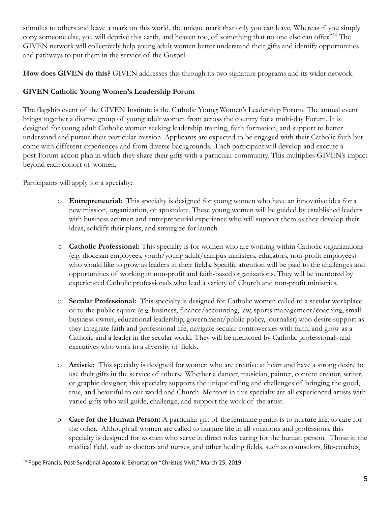stimulus to others and leave a mark on this world, the unique mark that only you can leave. Whereas if you simply copy someone else, you will deprive this earth, and heaven too, of something that no one else can offer."<sup>14</sup> The GIVEN network will collectively help young adult women better understand their gifts and identify opportunities and pathways to put them in the service of the Gospel.

**How does GIVEN do this?** GIVEN addresses this through its two signature programs and its wider network.

# **GIVEN Catholic Young Women's Leadership Forum**

The flagship event of the GIVEN Institute is the Catholic Young Women's Leadership Forum. The annual event brings together a diverse group of young adult women from across the country for a multi-day Forum. It is designed for young adult Catholic women seeking leadership training, faith formation, and support to better understand and pursue their particular mission. Applicants are expected to be engaged with their Catholic faith but come with different experiences and from diverse backgrounds. Each participant will develop and execute a post-Forum action plan in which they share their gifts with a particular community. This multiplies GIVEN's impact beyond each cohort of women.

Participants will apply for a specialty:

- o **Entrepreneurial:** This specialty is designed for young women who have an innovative idea for a new mission, organization, or apostolate. These young women will be guided by established leaders with business acumen and entrepreneurial experience who will support them as they develop their ideas, solidify their plans, and strategize for launch.
- o **Catholic Professional:** This specialty is for women who are working within Catholic organizations (e.g. diocesan employees, youth/young adult/campus ministers, educators, non-profit employees) who would like to grow as leaders in their fields. Specific attention will be paid to the challenges and opportunities of working in non-profit and faith-based organizations. They will be mentored by experienced Catholic professionals who lead a variety of Church and non-profit ministries.
- o **Secular Professional:** This specialty is designed for Catholic women called to a secular workplace or to the public square (e.g. business, finance/accounting, law, sports management/coaching, small business owner, educational leadership, government/public policy, journalist) who desire support as they integrate faith and professional life, navigate secular controversies with faith, and grow as a Catholic and a leader in the secular world. They will be mentored by Catholic professionals and executives who work in a diversity of fields.
- o **Artistic:** This specialty is designed for women who are creative at heart and have a strong desire to use their gifts in the service of others. Whether a dancer, musician, painter, content creator, writer, or graphic designer, this specialty supports the unique calling and challenges of bringing the good, true, and beautiful to our world and Church. Mentors in this specialty are all experienced artists with varied gifts who will guide, challenge, and support the work of the artist.
- o **Care for the Human Person:** A particular gift of the feminine genius is to nurture life, to care for the other. Although all women are called to nurture life in all vocations and professions, this specialty is designed for women who serve in direct roles caring for the human person. Those in the medical field, such as doctors and nurses, and other healing fields, such as counselors, life-coaches,

<sup>&</sup>lt;sup>14</sup> Pope Francis, Post-Syndonal Apostolic Exhortation "Christus Vivit," March 25, 2019.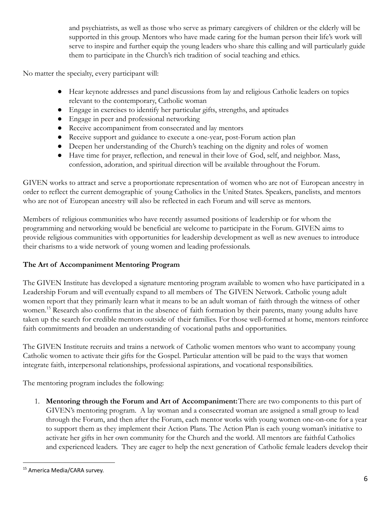and psychiatrists, as well as those who serve as primary caregivers of children or the elderly will be supported in this group. Mentors who have made caring for the human person their life's work will serve to inspire and further equip the young leaders who share this calling and will particularly guide them to participate in the Church's rich tradition of social teaching and ethics.

No matter the specialty, every participant will:

- Hear keynote addresses and panel discussions from lay and religious Catholic leaders on topics relevant to the contemporary, Catholic woman
- Engage in exercises to identify her particular gifts, strengths, and aptitudes
- Engage in peer and professional networking
- Receive accompaniment from consecrated and lay mentors
- Receive support and guidance to execute a one-year, post-Forum action plan
- Deepen her understanding of the Church's teaching on the dignity and roles of women
- Have time for prayer, reflection, and renewal in their love of God, self, and neighbor. Mass, confession, adoration, and spiritual direction will be available throughout the Forum.

GIVEN works to attract and serve a proportionate representation of women who are not of European ancestry in order to reflect the current demographic of young Catholics in the United States. Speakers, panelists, and mentors who are not of European ancestry will also be reflected in each Forum and will serve as mentors.

Members of religious communities who have recently assumed positions of leadership or for whom the programming and networking would be beneficial are welcome to participate in the Forum. GIVEN aims to provide religious communities with opportunities for leadership development as well as new avenues to introduce their charisms to a wide network of young women and leading professionals.

#### **The Art of Accompaniment Mentoring Program**

The GIVEN Institute has developed a signature mentoring program available to women who have participated in a Leadership Forum and will eventually expand to all members of The GIVEN Network. Catholic young adult women report that they primarily learn what it means to be an adult woman of faith through the witness of other women.<sup>15</sup> Research also confirms that in the absence of faith formation by their parents, many young adults have taken up the search for credible mentors outside of their families. For those well-formed at home, mentors reinforce faith commitments and broaden an understanding of vocational paths and opportunities.

The GIVEN Institute recruits and trains a network of Catholic women mentors who want to accompany young Catholic women to activate their gifts for the Gospel. Particular attention will be paid to the ways that women integrate faith, interpersonal relationships, professional aspirations, and vocational responsibilities.

The mentoring program includes the following:

1. **Mentoring through the Forum and Art of Accompaniment:**There are two components to this part of GIVEN's mentoring program. A lay woman and a consecrated woman are assigned a small group to lead through the Forum, and then after the Forum, each mentor works with young women one-on-one for a year to support them as they implement their Action Plans. The Action Plan is each young woman's initiative to activate her gifts in her own community for the Church and the world. All mentors are faithful Catholics and experienced leaders. They are eager to help the next generation of Catholic female leaders develop their

<sup>&</sup>lt;sup>15</sup> America Media/CARA survey.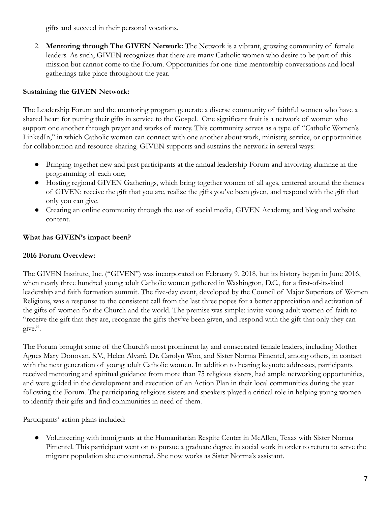gifts and succeed in their personal vocations.

2. **Mentoring through The GIVEN Network:** The Network is a vibrant, growing community of female leaders. As such, GIVEN recognizes that there are many Catholic women who desire to be part of this mission but cannot come to the Forum. Opportunities for one-time mentorship conversations and local gatherings take place throughout the year.

## **Sustaining the GIVEN Network:**

The Leadership Forum and the mentoring program generate a diverse community of faithful women who have a shared heart for putting their gifts in service to the Gospel. One significant fruit is a network of women who support one another through prayer and works of mercy. This community serves as a type of "Catholic Women's LinkedIn," in which Catholic women can connect with one another about work, ministry, service, or opportunities for collaboration and resource-sharing. GIVEN supports and sustains the network in several ways:

- Bringing together new and past participants at the annual leadership Forum and involving alumnae in the programming of each one;
- Hosting regional GIVEN Gatherings, which bring together women of all ages, centered around the themes of GIVEN: receive the gift that you are, realize the gifts you've been given, and respond with the gift that only you can give.
- Creating an online community through the use of social media, GIVEN Academy, and blog and website content.

## **What has GIVEN's impact been?**

#### **2016 Forum Overview:**

The GIVEN Institute, Inc. ("GIVEN") was incorporated on February 9, 2018, but its history began in June 2016, when nearly three hundred young adult Catholic women gathered in Washington, D.C., for a first-of-its-kind leadership and faith formation summit. The five-day event, developed by the Council of Major Superiors of Women Religious, was a response to the consistent call from the last three popes for a better appreciation and activation of the gifts of women for the Church and the world. The premise was simple: invite young adult women of faith to "receive the gift that they are, recognize the gifts they've been given, and respond with the gift that only they can give.".

The Forum brought some of the Church's most prominent lay and consecrated female leaders, including Mother Agnes Mary Donovan, S.V., Helen Alvaré, Dr. Carolyn Woo, and Sister Norma Pimentel, among others, in contact with the next generation of young adult Catholic women. In addition to hearing keynote addresses, participants received mentoring and spiritual guidance from more than 75 religious sisters, had ample networking opportunities, and were guided in the development and execution of an Action Plan in their local communities during the year following the Forum. The participating religious sisters and speakers played a critical role in helping young women to identify their gifts and find communities in need of them.

Participants' action plans included:

● Volunteering with immigrants at the Humanitarian Respite Center in McAllen, Texas with Sister Norma Pimentel. This participant went on to pursue a graduate degree in social work in order to return to serve the migrant population she encountered. She now works as Sister Norma's assistant.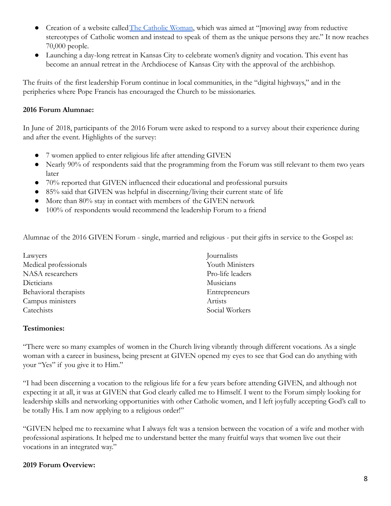- Creation of a website called [The Catholic Woman](https://thecatholicwoman.co/), which was aimed at "[moving] away from reductive stereotypes of Catholic women and instead to speak of them as the unique persons they are." It now reaches 70,000 people.
- Launching a day-long retreat in Kansas City to celebrate women's dignity and vocation. This event has become an annual retreat in the Archdiocese of Kansas City with the approval of the archbishop.

The fruits of the first leadership Forum continue in local communities, in the "digital highways," and in the peripheries where Pope Francis has encouraged the Church to be missionaries.

## **2016 Forum Alumnae:**

In June of 2018, participants of the 2016 Forum were asked to respond to a survey about their experience during and after the event. Highlights of the survey:

- 7 women applied to enter religious life after attending GIVEN
- Nearly 90% of respondents said that the programming from the Forum was still relevant to them two years later
- 70% reported that GIVEN influenced their educational and professional pursuits
- 85% said that GIVEN was helpful in discerning/living their current state of life
- More than 80% stay in contact with members of the GIVEN network
- 100% of respondents would recommend the leadership Forum to a friend

Alumnae of the 2016 GIVEN Forum - single, married and religious - put their gifts in service to the Gospel as:

| Lawyers               | Journalists      |
|-----------------------|------------------|
| Medical professionals | Youth Ministers  |
| NASA researchers      | Pro-life leaders |
| Dieticians            | Musicians        |
| Behavioral therapists | Entrepreneurs    |
| Campus ministers      | Artists          |
| Catechists            | Social Workers   |
|                       |                  |

#### **Testimonies:**

"There were so many examples of women in the Church living vibrantly through different vocations. As a single woman with a career in business, being present at GIVEN opened my eyes to see that God can do anything with your "Yes" if you give it to Him."

"I had been discerning a vocation to the religious life for a few years before attending GIVEN, and although not expecting it at all, it was at GIVEN that God clearly called me to Himself. I went to the Forum simply looking for leadership skills and networking opportunities with other Catholic women, and I left joyfully accepting God's call to be totally His. I am now applying to a religious order!"

"GIVEN helped me to reexamine what I always felt was a tension between the vocation of a wife and mother with professional aspirations. It helped me to understand better the many fruitful ways that women live out their vocations in an integrated way."

## **2019 Forum Overview:**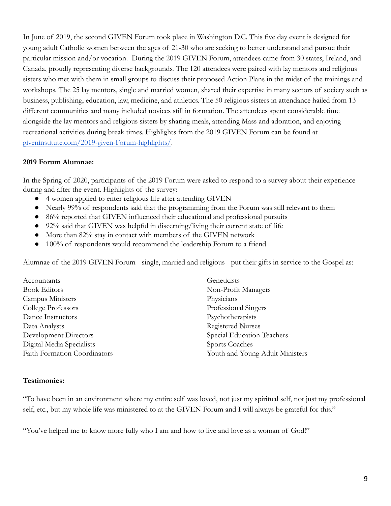In June of 2019, the second GIVEN Forum took place in Washington D.C. This five day event is designed for young adult Catholic women between the ages of 21-30 who are seeking to better understand and pursue their particular mission and/or vocation. During the 2019 GIVEN Forum, attendees came from 30 states, Ireland, and Canada, proudly representing diverse backgrounds. The 120 attendees were paired with lay mentors and religious sisters who met with them in small groups to discuss their proposed Action Plans in the midst of the trainings and workshops. The 25 lay mentors, single and married women, shared their expertise in many sectors of society such as business, publishing, education, law, medicine, and athletics. The 50 religious sisters in attendance hailed from 13 different communities and many included novices still in formation. The attendees spent considerable time alongside the lay mentors and religious sisters by sharing meals, attending Mass and adoration, and enjoying recreational activities during break times. Highlights from the 2019 GIVEN Forum can be found at [giveninstitute.com/2019-given-Forum-highlights/](https://giveninstitute.com/2019-given-forum-highlights/).

## **2019 Forum Alumnae:**

In the Spring of 2020, participants of the 2019 Forum were asked to respond to a survey about their experience during and after the event. Highlights of the survey:

- 4 women applied to enter religious life after attending GIVEN
- Nearly 99% of respondents said that the programming from the Forum was still relevant to them
- 86% reported that GIVEN influenced their educational and professional pursuits
- 92% said that GIVEN was helpful in discerning/living their current state of life
- More than 82% stay in contact with members of the GIVEN network
- 100% of respondents would recommend the leadership Forum to a friend

Alumnae of the 2019 GIVEN Forum - single, married and religious - put their gifts in service to the Gospel as:

| Accountants                         | Geneticists                     |
|-------------------------------------|---------------------------------|
| <b>Book Editors</b>                 | Non-Profit Managers             |
| Campus Ministers                    | Physicians                      |
| College Professors                  | Professional Singers            |
| Dance Instructors                   | Psychotherapists                |
| Data Analysts                       | <b>Registered Nurses</b>        |
| Development Directors               | Special Education Teachers      |
| Digital Media Specialists           | Sports Coaches                  |
| <b>Faith Formation Coordinators</b> | Youth and Young Adult Ministers |

#### **Testimonies:**

"To have been in an environment where my entire self was loved, not just my spiritual self, not just my professional self, etc., but my whole life was ministered to at the GIVEN Forum and I will always be grateful for this."

"You've helped me to know more fully who I am and how to live and love as a woman of God!"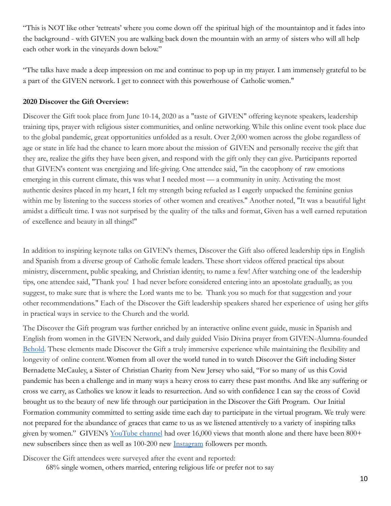"This is NOT like other 'retreats' where you come down off the spiritual high of the mountaintop and it fades into the background - with GIVEN you are walking back down the mountain with an army of sisters who will all help each other work in the vineyards down below."

"The talks have made a deep impression on me and continue to pop up in my prayer. I am immensely grateful to be a part of the GIVEN network. I get to connect with this powerhouse of Catholic women."

### **2020 Discover the Gift Overview:**

Discover the Gift took place from June 10-14, 2020 as a "taste of GIVEN" offering keynote speakers, leadership training tips, prayer with religious sister communities, and online networking. While this online event took place due to the global pandemic, great opportunities unfolded as a result. Over 2,000 women across the globe regardless of age or state in life had the chance to learn more about the mission of GIVEN and personally receive the gift that they are, realize the gifts they have been given, and respond with the gift only they can give. Participants reported that GIVEN's content was energizing and life-giving. One attendee said, "in the cacophony of raw emotions emerging in this current climate, this was what I needed most — a community in unity. Activating the most authentic desires placed in my heart, I felt my strength being refueled as I eagerly unpacked the feminine genius within me by listening to the success stories of other women and creatives." Another noted, "It was a beautiful light amidst a difficult time. I was not surprised by the quality of the talks and format, Given has a well earned reputation of excellence and beauty in all things!"

In addition to inspiring keynote talks on GIVEN's themes, Discover the Gift also offered leadership tips in English and Spanish from a diverse group of Catholic female leaders. These short videos offered practical tips about ministry, discernment, public speaking, and Christian identity, to name a few! After watching one of the leadership tips, one attendee said, "Thank you! I had never before considered entering into an apostolate gradually, as you suggest, to make sure that is where the Lord wants me to be. Thank you so much for that suggestion and your other recommendations." Each of the Discover the Gift leadership speakers shared her experience of using her gifts in practical ways in service to the Church and the world.

The Discover the Gift program was further enriched by an interactive online event guide, music in Spanish and English from women in the GIVEN Network, and daily guided Visio Divina prayer from GIVEN-Alumna-founded [Behold](https://www.beholdvisiodivina.com/). These elements made Discover the Gift a truly immersive experience while maintaining the flexibility and longevity of online content.Women from all over the world tuned in to watch Discover the Gift including Sister Bernadette McCauley, a Sister of Christian Charity from New Jersey who said, "For so many of us this Covid pandemic has been a challenge and in many ways a heavy cross to carry these past months. And like any suffering or cross we carry, as Catholics we know it leads to resurrection. And so with confidence I can say the cross of Covid brought us to the beauty of new life through our participation in the Discover the Gift Program. Our Initial Formation community committed to setting aside time each day to participate in the virtual program. We truly were not prepared for the abundance of graces that came to us as we listened attentively to a variety of inspiring talks given by women." GIVEN's [YouTube channel](https://www.youtube.com/giveninstitute) had over 16,000 views that month alone and there have been 800+ new subscribers since then as well as 100-200 new [Instagram](http://instagram.com/giveninstitute) followers per month.

Discover the Gift attendees were surveyed after the event and reported:

68% single women, others married, entering religious life or prefer not to say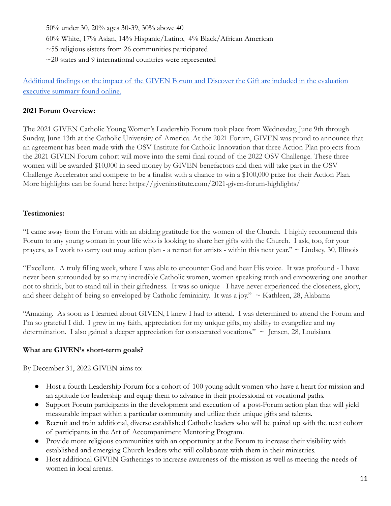50% under 30, 20% ages 30-39, 30% above 40

60% White, 17% Asian, 14% Hispanic/Latino, 4% Black/African American

 $\sim$ 55 religious sisters from 26 communities participated

 $\sim$ 20 states and 9 international countries were represented

[Additional findings on the impact of the GIVEN Forum and Discover the Gift are included in the evaluation](https://giveninstitute.com/wp-content/uploads/2021/03/Report-II-Given-Institute-Final-Submission-Fixed.pdf) [executive summary found online.](https://giveninstitute.com/wp-content/uploads/2021/03/Report-II-Given-Institute-Final-Submission-Fixed.pdf)

## **2021 Forum Overview:**

The 2021 GIVEN Catholic Young Women's Leadership Forum took place from Wednesday, June 9th through Sunday, June 13th at the Catholic University of America. At the 2021 Forum, GIVEN was proud to announce that an agreement has been made with the OSV Institute for Catholic Innovation that three Action Plan projects from the 2021 GIVEN Forum cohort will move into the semi-final round of the 2022 OSV Challenge. These three women will be awarded \$10,000 in seed money by GIVEN benefactors and then will take part in the OSV Challenge Accelerator and compete to be a finalist with a chance to win a \$100,000 prize for their Action Plan. More highlights can be found here: https://giveninstitute.com/2021-given-forum-highlights/

## **Testimonies:**

"I came away from the Forum with an abiding gratitude for the women of the Church. I highly recommend this Forum to any young woman in your life who is looking to share her gifts with the Church. I ask, too, for your prayers, as I work to carry out muy action plan - a retreat for artists - within this next year."  $\sim$  Lindsey, 30, Illinois

"Excellent. A truly filling week, where I was able to encounter God and hear His voice. It was profound - I have never been surrounded by so many incredible Catholic women, women speaking truth and empowering one another not to shrink, but to stand tall in their giftedness. It was so unique - I have never experienced the closeness, glory, and sheer delight of being so enveloped by Catholic femininity. It was a joy."  $\sim$  Kathleen, 28, Alabama

"Amazing. As soon as I learned about GIVEN, I knew I had to attend. I was determined to attend the Forum and I'm so grateful I did. I grew in my faith, appreciation for my unique gifts, my ability to evangelize and my determination. I also gained a deeper appreciation for consecrated vocations."  $\sim$  Jensen, 28, Louisiana

## **What are GIVEN's short-term goals?**

By December 31, 2022 GIVEN aims to:

- Host a fourth Leadership Forum for a cohort of 100 young adult women who have a heart for mission and an aptitude for leadership and equip them to advance in their professional or vocational paths.
- Support Forum participants in the development and execution of a post-Forum action plan that will yield measurable impact within a particular community and utilize their unique gifts and talents.
- Recruit and train additional, diverse established Catholic leaders who will be paired up with the next cohort of participants in the Art of Accompaniment Mentoring Program.
- Provide more religious communities with an opportunity at the Forum to increase their visibility with established and emerging Church leaders who will collaborate with them in their ministries.
- Host additional GIVEN Gatherings to increase awareness of the mission as well as meeting the needs of women in local arenas.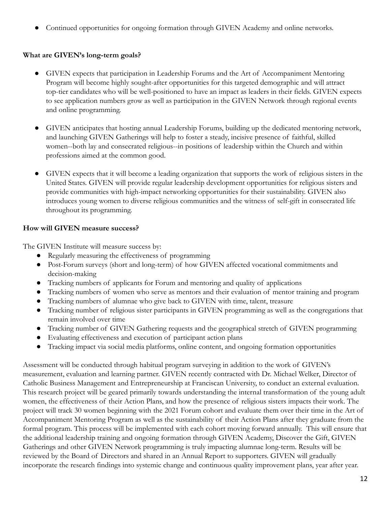● Continued opportunities for ongoing formation through GIVEN Academy and online networks.

## **What are GIVEN's long-term goals?**

- GIVEN expects that participation in Leadership Forums and the Art of Accompaniment Mentoring Program will become highly sought-after opportunities for this targeted demographic and will attract top-tier candidates who will be well-positioned to have an impact as leaders in their fields. GIVEN expects to see application numbers grow as well as participation in the GIVEN Network through regional events and online programming.
- GIVEN anticipates that hosting annual Leadership Forums, building up the dedicated mentoring network, and launching GIVEN Gatherings will help to foster a steady, incisive presence of faithful, skilled women--both lay and consecrated religious--in positions of leadership within the Church and within professions aimed at the common good.
- GIVEN expects that it will become a leading organization that supports the work of religious sisters in the United States. GIVEN will provide regular leadership development opportunities for religious sisters and provide communities with high-impact networking opportunities for their sustainability. GIVEN also introduces young women to diverse religious communities and the witness of self-gift in consecrated life throughout its programming.

## **How will GIVEN measure success?**

The GIVEN Institute will measure success by:

- Regularly measuring the effectiveness of programming
- Post-Forum surveys (short and long-term) of how GIVEN affected vocational commitments and decision-making
- Tracking numbers of applicants for Forum and mentoring and quality of applications
- Tracking numbers of women who serve as mentors and their evaluation of mentor training and program
- Tracking numbers of alumnae who give back to GIVEN with time, talent, treasure
- Tracking number of religious sister participants in GIVEN programming as well as the congregations that remain involved over time
- Tracking number of GIVEN Gathering requests and the geographical stretch of GIVEN programming
- Evaluating effectiveness and execution of participant action plans
- Tracking impact via social media platforms, online content, and ongoing formation opportunities

Assessment will be conducted through habitual program surveying in addition to the work of GIVEN's measurement, evaluation and learning partner. GIVEN recently contracted with Dr. Michael Welker, Director of Catholic Business Management and Entrepreneurship at Franciscan University, to conduct an external evaluation. This research project will be geared primarily towards understanding the internal transformation of the young adult women, the effectiveness of their Action Plans, and how the presence of religious sisters impacts their work. The project will track 30 women beginning with the 2021 Forum cohort and evaluate them over their time in the Art of Accompaniment Mentoring Program as well as the sustainability of their Action Plans after they graduate from the formal program. This process will be implemented with each cohort moving forward annually. This will ensure that the additional leadership training and ongoing formation through GIVEN Academy, Discover the Gift, GIVEN Gatherings and other GIVEN Network programming is truly impacting alumnae long-term. Results will be reviewed by the Board of Directors and shared in an Annual Report to supporters. GIVEN will gradually incorporate the research findings into systemic change and continuous quality improvement plans, year after year.